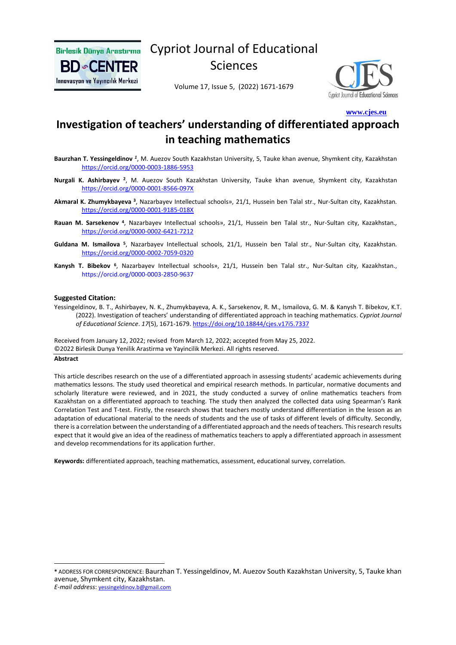

Cypriot Journal of Educational

Sciences

Volume 17, Issue 5, (2022) 1671-1679



 **[w](http://www.cjes.eu/)[ww.cjes.eu](http://www.cjes.eu/)**

# **Investigation of teachers' understanding of differentiated approach in teaching mathematics**

- Baurzhan T. Yessingeldinov <sup>1</sup>, M. Auezov South Kazakhstan University, 5, Tauke khan avenue, Shymkent city, Kazakhstan <https://orcid.org/0000-0003-1886-5953>
- **Nurgali K. Ashirbayev** <sup>2</sup>, M. Auezov South Kazakhstan University, Tauke khan avenue, Shymkent city, Kazakhstan <https://orcid.org/0000-0001-8566-097X>
- Akmaral K. Zhumykbayeva <sup>3</sup>, Nazarbayev Intellectual schools», 21/1, Hussein ben Talal str., Nur-Sultan city, Kazakhstan. <https://orcid.org/0000-0001-9185-018X>
- Rauan M. Sarsekenov <sup>4</sup>, Nazarbayev Intellectual schools», 21/1, Hussein ben Talal str., Nur-Sultan city, Kazakhstan., <https://orcid.org/0000-0002-6421-7212>
- Guldana M. Ismailova <sup>5</sup>, Nazarbayev Intellectual schools, 21/1, Hussein ben Talal str., Nur-Sultan city, Kazakhstan. <https://orcid.org/0000-0002-7059-0320>
- **Kanysh Т. Bibekov <sup>6</sup>** , Nazarbayev Intellectual schools», 21/1, Hussein ben Talal str., Nur-Sultan city, Kazakhstan., https://orcid.org/0000-0003-2850-9637

#### **Suggested Citation:**

Yessingeldinov, B. T., Ashirbayev, N. K., Zhumykbayeva, A. K., Sarsekenov, R. M., Ismailova, G. M. & Kanysh Т. Bibekov, K.T. (2022). Investigation of teachers' understanding of differentiated approach in teaching mathematics. *Cypriot Journal of Educational Science*. *17*(5), 1671-1679.<https://doi.org/10.18844/cjes.v17i5.7337>

Received from January 12, 2022; revised from March 12, 2022; accepted from May 25, 2022. ©2022 Birlesik Dunya Yenilik Arastirma ve Yayincilik Merkezi. All rights reserved.

#### **Abstract**

This article describes research on the use of a differentiated approach in assessing students' academic achievements during mathematics lessons. The study used theoretical and empirical research methods. In particular, normative documents and scholarly literature were reviewed, and in 2021, the study conducted a survey of online mathematics teachers from Kazakhstan on a differentiated approach to teaching. The study then analyzed the collected data using Spearman's Rank Correlation Test and T-test. Firstly, the research shows that teachers mostly understand differentiation in the lesson as an adaptation of educational material to the needs of students and the use of tasks of different levels of difficulty. Secondly, there is a correlation between the understanding of a differentiated approach and the needs of teachers. Thisresearch results expect that it would give an idea of the readiness of mathematics teachers to apply a differentiated approach in assessment and develop recommendations for its application further.

**Keywords:** differentiated approach, teaching mathematics, assessment, educational survey, correlation.

**<sup>\*</sup>** ADDRESS FOR CORRESPONDENCE: Baurzhan T. Yessingeldinov, M. Auezov South Kazakhstan University, 5, Tauke khan avenue, Shymkent city, Kazakhstan. *E-mail address*: [yessingeldinov.b@gmail.com](mailto:yessingeldinov.b@gmail.com)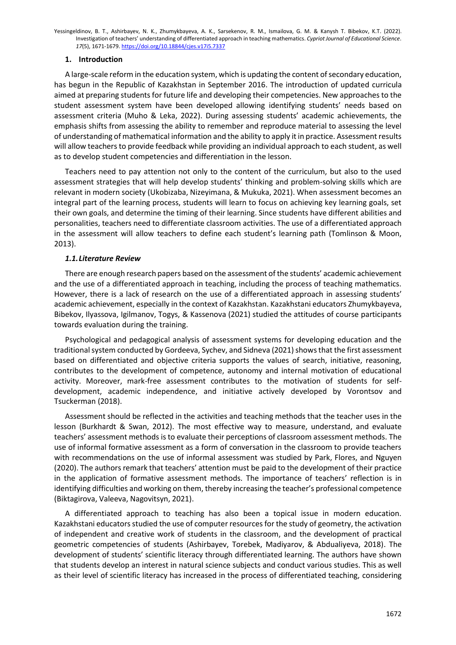# **1. Introduction**

A large-scale reform in the education system, which is updating the content of secondary education, has begun in the Republic of Kazakhstan in September 2016. The introduction of updated curricula aimed at preparing students for future life and developing their competencies. New approaches to the student assessment system have been developed allowing identifying students' needs based on assessment criteria (Muho & Leka, 2022). During assessing students' academic achievements, the emphasis shifts from assessing the ability to remember and reproduce material to assessing the level of understanding of mathematical information and the ability to apply it in practice. Assessment results will allow teachers to provide feedback while providing an individual approach to each student, as well as to develop student competencies and differentiation in the lesson.

Teachers need to pay attention not only to the content of the curriculum, but also to the used assessment strategies that will help develop students' thinking and problem-solving skills which are relevant in modern society (Ukobizaba, Nizeyimana, & Mukuka, 2021). When assessment becomes an integral part of the learning process, students will learn to focus on achieving key learning goals, set their own goals, and determine the timing of their learning. Since students have different abilities and personalities, teachers need to differentiate classroom activities. The use of a differentiated approach in the assessment will allow teachers to define each student's learning path (Tomlinson & Moon, 2013).

# *1.1.Literature Review*

There are enough research papers based on the assessment of the students' academic achievement and the use of a differentiated approach in teaching, including the process of teaching mathematics. However, there is a lack of research on the use of a differentiated approach in assessing students' academic achievement, especially in the context of Kazakhstan. Kazakhstani educators Zhumykbayeva, Bibekov, Ilyassova, Igilmanov, Togys, & Kassenova (2021) studied the attitudes of course participants towards evaluation during the training.

Psychological and pedagogical analysis of assessment systems for developing education and the traditional system conducted by Gordeeva, Sychev, and Sidneva (2021) shows that the first assessment based on differentiated and objective criteria supports the values of search, initiative, reasoning, contributes to the development of competence, autonomy and internal motivation of educational activity. Moreover, mark-free assessment contributes to the motivation of students for selfdevelopment, academic independence, and initiative actively developed by Vorontsov and Tsuckerman (2018).

Assessment should be reflected in the activities and teaching methods that the teacher uses in the lesson (Burkhardt & Swan, 2012). The most effective way to measure, understand, and evaluate teachers' assessment methods is to evaluate their perceptions of classroom assessment methods. The use of informal formative assessment as a form of conversation in the classroom to provide teachers with recommendations on the use of informal assessment was studied by Park, Flores, and Nguyen (2020). The authors remark that teachers' attention must be paid to the development of their practice in the application of formative assessment methods. The importance of teachers' reflection is in identifying difficulties and working on them, thereby increasing the teacher's professional competence (Biktagirova, Valeeva, Nagovitsyn, 2021).

A differentiated approach to teaching has also been a topical issue in modern education. Kazakhstani educators studied the use of computer resources for the study of geometry, the activation of independent and creative work of students in the classroom, and the development of practical geometric competencies of students (Ashirbayev, Torebek, Madiyarov, & Abdualiyeva, 2018). The development of students' scientific literacy through differentiated learning. The authors have shown that students develop an interest in natural science subjects and conduct various studies. This as well as their level of scientific literacy has increased in the process of differentiated teaching, considering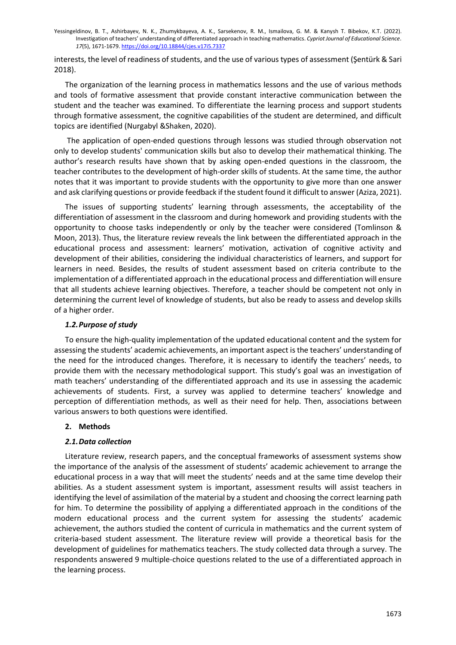interests, the level of readiness of students, and the use of various types of assessment (Şentürk & Sari 2018).

The organization of the learning process in mathematics lessons and the use of various methods and tools of formative assessment that provide constant interactive communication between the student and the teacher was examined. To differentiate the learning process and support students through formative assessment, the cognitive capabilities of the student are determined, and difficult topics are identified (Nurgabyl &Shaken, 2020).

The application of open-ended questions through lessons was studied through observation not only to develop students' communication skills but also to develop their mathematical thinking. The author's research results have shown that by asking open-ended questions in the classroom, the teacher contributes to the development of high-order skills of students. At the same time, the author notes that it was important to provide students with the opportunity to give more than one answer and ask clarifying questions or provide feedback if the student found it difficult to answer (Aziza, 2021).

The issues of supporting students' learning through assessments, the acceptability of the differentiation of assessment in the classroom and during homework and providing students with the opportunity to choose tasks independently or only by the teacher were considered (Tomlinson & Moon, 2013). Thus, the literature review reveals the link between the differentiated approach in the educational process and assessment: learners' motivation, activation of cognitive activity and development of their abilities, considering the individual characteristics of learners, and support for learners in need. Besides, the results of student assessment based on criteria contribute to the implementation of a differentiated approach in the educational process and differentiation will ensure that all students achieve learning objectives. Therefore, a teacher should be competent not only in determining the current level of knowledge of students, but also be ready to assess and develop skills of a higher order.

### *1.2.Purpose of study*

To ensure the high-quality implementation of the updated educational content and the system for assessing the students' academic achievements, an important aspect is the teachers' understanding of the need for the introduced changes. Therefore, it is necessary to identify the teachers' needs, to provide them with the necessary methodological support. This study's goal was an investigation of math teachers' understanding of the differentiated approach and its use in assessing the academic achievements of students. First, a survey was applied to determine teachers' knowledge and perception of differentiation methods, as well as their need for help. Then, associations between various answers to both questions were identified.

# **2. Methods**

# *2.1.Data collection*

Literature review, research papers, and the conceptual frameworks of assessment systems show the importance of the analysis of the assessment of students' academic achievement to arrange the educational process in a way that will meet the students' needs and at the same time develop their abilities. As a student assessment system is important, assessment results will assist teachers in identifying the level of assimilation of the material by a student and choosing the correct learning path for him. To determine the possibility of applying a differentiated approach in the conditions of the modern educational process and the current system for assessing the students' academic achievement, the authors studied the content of curricula in mathematics and the current system of criteria-based student assessment. The literature review will provide a theoretical basis for the development of guidelines for mathematics teachers. The study collected data through a survey. The respondents answered 9 multiple-choice questions related to the use of a differentiated approach in the learning process.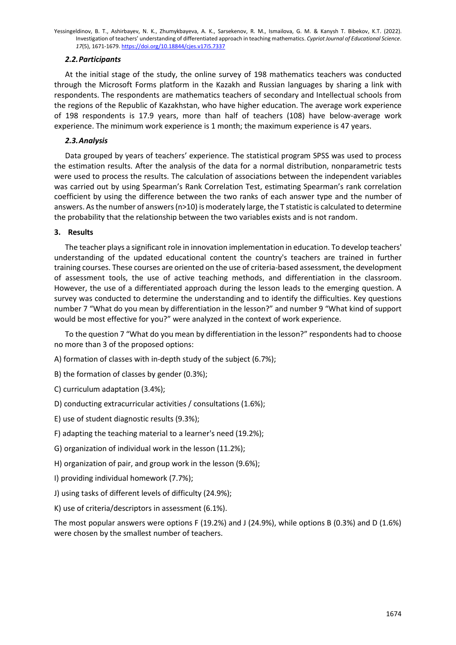# *2.2.Participants*

At the initial stage of the study, the online survey of 198 mathematics teachers was conducted through the Microsoft Forms platform in the Kazakh and Russian languages by sharing a link with respondents. The respondents are mathematics teachers of secondary and Intellectual schools from the regions of the Republic of Kazakhstan, who have higher education. The average work experience of 198 respondents is 17.9 years, more than half of teachers (108) have below-average work experience. The minimum work experience is 1 month; the maximum experience is 47 years.

# *2.3.Analysis*

Data grouped by years of teachers' experience. The statistical program SPSS was used to process the estimation results. After the analysis of the data for a normal distribution, nonparametric tests were used to process the results. The calculation of associations between the independent variables was carried out by using Spearman's Rank Correlation Test, estimating Spearman's rank correlation coefficient by using the difference between the two ranks of each answer type and the number of answers. As the number of answers (n>10) is moderately large, the T statistic is calculated to determine the probability that the relationship between the two variables exists and is not random.

#### **3. Results**

The teacher plays a significant role in innovation implementation in education. To develop teachers' understanding of the updated educational content the country's teachers are trained in further training courses. These courses are oriented on the use of criteria-based assessment, the development of assessment tools, the use of active teaching methods, and differentiation in the classroom. However, the use of a differentiated approach during the lesson leads to the emerging question. A survey was conducted to determine the understanding and to identify the difficulties. Key questions number 7 "What do you mean by differentiation in the lesson?" and number 9 "What kind of support would be most effective for you?" were analyzed in the context of work experience.

To the question 7 "What do you mean by differentiation in the lesson?" respondents had to choose no more than 3 of the proposed options:

A) formation of classes with in-depth study of the subject (6.7%);

B) the formation of classes by gender (0.3%);

C) curriculum adaptation (3.4%);

D) conducting extracurricular activities / consultations (1.6%);

E) use of student diagnostic results (9.3%);

F) adapting the teaching material to a learner's need (19.2%);

G) organization of individual work in the lesson (11.2%);

H) organization of pair, and group work in the lesson (9.6%);

I) providing individual homework (7.7%);

J) using tasks of different levels of difficulty (24.9%);

K) use of criteria/descriptors in assessment (6.1%).

The most popular answers were options F (19.2%) and J (24.9%), while options B (0.3%) and D (1.6%) were chosen by the smallest number of teachers.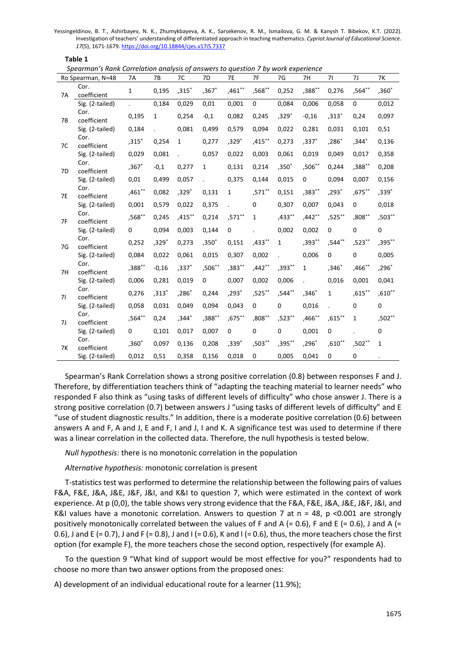**Table 1**

*Spearman's Rank Correlation analysis of answers to question 7 by work experience*

| Ro Spearman, N=48 |                     | 7A          | 7B           | 7C        | 7D           | <b>7E</b>    | 7F       | 7G           | 7H        | 71          | 71           | 7K           |
|-------------------|---------------------|-------------|--------------|-----------|--------------|--------------|----------|--------------|-----------|-------------|--------------|--------------|
| <b>7A</b>         | Cor.<br>coefficient | $\mathbf 1$ | 0,195        | $,315*$   | $,367*$      | $,461$ **    | ,568**   | 0,252        | $,388***$ | 0,276       | ,564**       | $,360*$      |
|                   | Sig. (2-tailed)     |             | 0,184        | 0,029     | 0,01         | 0,001        | 0        | 0,084        | 0,006     | 0,058       | 0            | 0,012        |
| 7B                | Cor.<br>coefficient | 0,195       | $\mathbf{1}$ | 0,254     | $-0,1$       | 0,082        | 0,245    | $,329*$      | $-0,16$   | $,313*$     | 0,24         | 0,097        |
|                   | Sig. (2-tailed)     | 0,184       |              | 0,081     | 0,499        | 0,579        | 0,094    | 0,022        | 0,281     | 0,031       | 0,101        | 0,51         |
| 7C                | Cor.<br>coefficient | $,315*$     | 0,254        | 1         | 0,277        | $,329*$      | ,415**   | 0,273        | ,337*     | ,286*       | $,344*$      | 0,136        |
|                   | Sig. (2-tailed)     | 0,029       | 0,081        |           | 0,057        | 0,022        | 0,003    | 0,061        | 0,019     | 0,049       | 0,017        | 0,358        |
| 7D                | Cor.<br>coefficient | $,367*$     | $-0,1$       | 0,277     | $\mathbf{1}$ | 0,131        | 0,214    | $,350*$      | $,506**$  | 0,244       | ,388**       | 0,208        |
|                   | Sig. (2-tailed)     | 0,01        | 0,499        | 0,057     |              | 0,375        | 0,144    | 0,015        | 0         | 0,094       | 0,007        | 0,156        |
| <b>7E</b>         | Cor.<br>coefficient | ,461**      | 0,082        | $,329*$   | 0,131        | $\mathbf{1}$ | ,571**   | 0,151        | ,383**    | $,293*$     | ,675**       | ,339*        |
|                   | Sig. (2-tailed)     | 0,001       | 0,579        | 0,022     | 0,375        |              | 0        | 0,307        | 0,007     | 0,043       | 0            | 0,018        |
| 7F                | Cor.<br>coefficient | ,568**      | 0,245        | $,415***$ | 0,214        | $,571***$    | 1        | $,433***$    | $,442**$  | ,525**      | ,808**       | ,503**       |
|                   | Sig. (2-tailed)     | 0           | 0,094        | 0,003     | 0,144        | 0            |          | 0,002        | 0,002     | $\mathbf 0$ | $\Omega$     | 0            |
| 7G                | Cor.<br>coefficient | 0,252       | ,329 $^*$    | 0,273     | $,350*$      | 0,151        | $,433**$ | $\mathbf{1}$ | ,393**    | ,544**      | ,523**       | ,395**       |
|                   | Sig. (2-tailed)     | 0,084       | 0,022        | 0,061     | 0,015        | 0,307        | 0,002    |              | 0,006     | $\mathbf 0$ | $\Omega$     | 0,005        |
| 7H                | Cor.<br>coefficient | $,388***$   | $-0,16$      | $,337*$   | ,506**       | $,383**$     | $,442**$ | ,393**       | 1         | $,346*$     | ,466**       | ,296*        |
|                   | Sig. (2-tailed)     | 0,006       | 0,281        | 0,019     | 0            | 0,007        | 0,002    | 0,006        |           | 0,016       | 0,001        | 0,041        |
| 71                | Cor.<br>coefficient | 0,276       | $,313*$      | $,286*$   | 0,244        | ,293*        | ,525**   | ,544**       | $,346*$   | 1           | $,615***$    | $,610**$     |
|                   | Sig. (2-tailed)     | 0,058       | 0,031        | 0,049     | 0,094        | 0,043        | 0        | 0            | 0,016     |             | $\Omega$     | 0            |
| 7J                | Cor.<br>coefficient | ,564**      | 0,24         | ,344*     | ,388**       | $,675***$    | ,808**   | ,523**       | $,466**$  | $,615***$   | $\mathbf{1}$ | ,502**       |
|                   | Sig. (2-tailed)     | 0           | 0,101        | 0,017     | 0,007        | 0            | 0        | 0            | 0,001     | 0           |              | 0            |
| <b>7K</b>         | Cor.<br>coefficient | $,360*$     | 0,097        | 0,136     | 0,208        | ,339*        | $,503**$ | ,395**       | $,296*$   | $,610**$    | ,502**       | $\mathbf{1}$ |
|                   | Sig. (2-tailed)     | 0,012       | 0,51         | 0,358     | 0,156        | 0,018        | 0        | 0,005        | 0,041     | 0           | $\Omega$     |              |

Spearman's Rank Correlation shows a strong positive correlation (0.8) between responses F and J. Therefore, by differentiation teachers think of "adapting the teaching material to learner needs" who responded F also think as "using tasks of different levels of difficulty" who chose answer J. There is a strong positive correlation (0.7) between answers J "using tasks of different levels of difficulty" and E "use of student diagnostic results." In addition, there is a moderate positive correlation (0.6) between answers A and F, A and J, E and F, I and J, I and K. A significance test was used to determine if there was a linear correlation in the collected data. Therefore, the null hypothesis is tested below.

*Null hypothesis:* there is no monotonic correlation in the population

*Alternative hypothesis:* monotonic correlation is present

T-statistics test was performed to determine the relationship between the following pairs of values F&A, F&E, J&A, J&E, J&F, J&I, and K&I to question 7, which were estimated in the context of work experience. At p (0,0), the table shows very strong evidence that the F&A, F&E, J&A, J&E, J&F, J&I, and K&I values have a monotonic correlation. Answers to question 7 at  $n = 48$ ,  $p \le 0.001$  are strongly positively monotonically correlated between the values of F and A (= 0.6), F and E (= 0.6), J and A (= 0.6), J and E (= 0.7), J and F (= 0.8), J and I (= 0.6), K and I (= 0.6), thus, the more teachers chose the first option (for example F), the more teachers chose the second option, respectively (for example A).

To the question 9 "What kind of support would be most effective for you?" respondents had to choose no more than two answer options from the proposed ones:

A) development of an individual educational route for a learner (11.9%);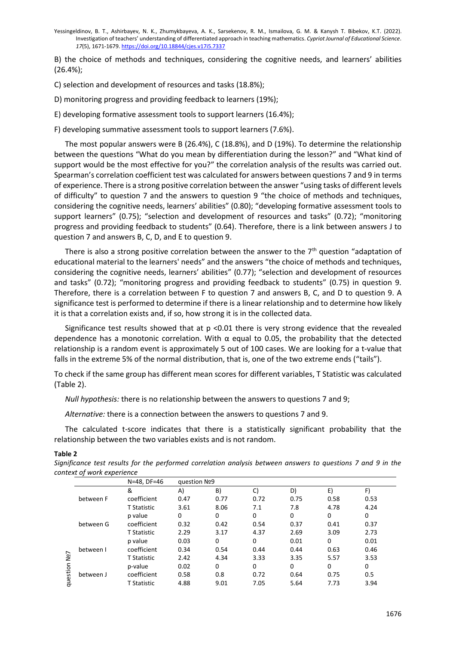B) the choice of methods and techniques, considering the cognitive needs, and learners' abilities (26.4%);

C) selection and development of resources and tasks (18.8%);

D) monitoring progress and providing feedback to learners (19%);

E) developing formative assessment tools to support learners (16.4%);

F) developing summative assessment tools to support learners (7.6%).

The most popular answers were B (26.4%), C (18.8%), and D (19%). To determine the relationship between the questions "What do you mean by differentiation during the lesson?" and "What kind of support would be the most effective for you?" the correlation analysis of the results was carried out. Spearman's correlation coefficient test was calculated for answers between questions 7 and 9 in terms of experience. There is a strong positive correlation between the answer "using tasks of different levels of difficulty" to question 7 and the answers to question 9 "the choice of methods and techniques, considering the cognitive needs, learners' abilities" (0.80); "developing formative assessment tools to support learners" (0.75); "selection and development of resources and tasks" (0.72); "monitoring progress and providing feedback to students" (0.64). Therefore, there is a link between answers J to question 7 and answers B, C, D, and E to question 9.

There is also a strong positive correlation between the answer to the  $7<sup>th</sup>$  question "adaptation of educational material to the learners' needs" and the answers "the choice of methods and techniques, considering the cognitive needs, learners' abilities" (0.77); "selection and development of resources and tasks" (0.72); "monitoring progress and providing feedback to students" (0.75) in question 9. Therefore, there is a correlation between F to question 7 and answers B, C, and D to question 9. A significance test is performed to determine if there is a linear relationship and to determine how likely it is that a correlation exists and, if so, how strong it is in the collected data.

Significance test results showed that at  $p$  <0.01 there is very strong evidence that the revealed dependence has a monotonic correlation. With  $\alpha$  equal to 0.05, the probability that the detected relationship is a random event is approximately 5 out of 100 cases. We are looking for a t-value that falls in the extreme 5% of the normal distribution, that is, one of the two extreme ends ("tails").

To check if the same group has different mean scores for different variables, T Statistic was calculated (Table 2).

*Null hypothesis:* there is no relationship between the answers to questions 7 and 9;

*Alternative:* there is a connection between the answers to questions 7 and 9.

The calculated t-score indicates that there is a statistically significant probability that the relationship between the two variables exists and is not random.

#### **Table 2**

*Significance test results for the performed correlation analysis between answers to questions 7 and 9 in the context of work experience*

|                 | . .       | N=48, DF=46        | guestion Nº9 |      |          |          |      |      |  |  |
|-----------------|-----------|--------------------|--------------|------|----------|----------|------|------|--|--|
|                 |           | &                  | A)           | B)   | C)       | D)       | E)   | F)   |  |  |
|                 | between F | coefficient        | 0.47         | 0.77 | 0.72     | 0.75     | 0.58 | 0.53 |  |  |
| No7<br>question |           | <b>T</b> Statistic | 3.61         | 8.06 | 7.1      | 7.8      | 4.78 | 4.24 |  |  |
|                 | between G | p value            | 0            | 0    | 0        | 0        | 0    | 0    |  |  |
|                 |           | coefficient        | 0.32         | 0.42 | 0.54     | 0.37     | 0.41 | 0.37 |  |  |
|                 |           | <b>T</b> Statistic | 2.29         | 3.17 | 4.37     | 2.69     | 3.09 | 2.73 |  |  |
|                 | between I | p value            | 0.03         | 0    | 0        | 0.01     | 0    | 0.01 |  |  |
|                 |           | coefficient        | 0.34         | 0.54 | 0.44     | 0.44     | 0.63 | 0.46 |  |  |
|                 |           | <b>T</b> Statistic | 2.42         | 4.34 | 3.33     | 3.35     | 5.57 | 3.53 |  |  |
|                 | between J | p-value            | 0.02         | 0    | $\Omega$ | $\Omega$ | 0    | 0    |  |  |
|                 |           | coefficient        | 0.58         | 0.8  | 0.72     | 0.64     | 0.75 | 0.5  |  |  |
|                 |           | <b>T</b> Statistic | 4.88         | 9.01 | 7.05     | 5.64     | 7.73 | 3.94 |  |  |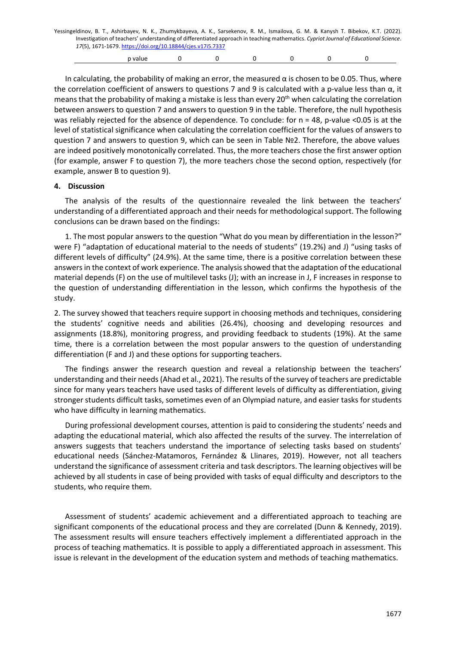| Yessingeldinov, B. T., Ashirbayev, N. K., Zhumykbayeva, A. K., Sarsekenov, R. M., Ismailova, G. M. & Kanysh T. Bibekov, K.T. (2022). |         |  |  |  |  |  |  |  |  |  |  |
|--------------------------------------------------------------------------------------------------------------------------------------|---------|--|--|--|--|--|--|--|--|--|--|
| Investigation of teachers' understanding of differentiated approach in teaching mathematics. Cypriot Journal of Educational Science. |         |  |  |  |  |  |  |  |  |  |  |
| 17(5), 1671-1679. https://doi.org/10.18844/cjes.v17i5.7337                                                                           |         |  |  |  |  |  |  |  |  |  |  |
|                                                                                                                                      | p value |  |  |  |  |  |  |  |  |  |  |

In calculating, the probability of making an error, the measured α is chosen to be 0.05. Thus, where the correlation coefficient of answers to questions 7 and 9 is calculated with a p-value less than  $α$ , it means that the probability of making a mistake is less than every 20<sup>th</sup> when calculating the correlation between answers to question 7 and answers to question 9 in the table. Therefore, the null hypothesis was reliably rejected for the absence of dependence. To conclude: for n = 48, p-value <0.05 is at the level of statistical significance when calculating the correlation coefficient for the values of answers to question 7 and answers to question 9, which can be seen in Table №2. Therefore, the above values are indeed positively monotonically correlated. Thus, the more teachers chose the first answer option (for example, answer F to question 7), the more teachers chose the second option, respectively (for example, answer B to question 9).

#### **4. Discussion**

The analysis of the results of the questionnaire revealed the link between the teachers' understanding of a differentiated approach and their needs for methodological support. The following conclusions can be drawn based on the findings:

1. The most popular answers to the question "What do you mean by differentiation in the lesson?" were F) "adaptation of educational material to the needs of students" (19.2%) and J) "using tasks of different levels of difficulty" (24.9%). At the same time, there is a positive correlation between these answers in the context of work experience. The analysis showed that the adaptation of the educational material depends (F) on the use of multilevel tasks (J); with an increase in J, F increases in response to the question of understanding differentiation in the lesson, which confirms the hypothesis of the study.

2. The survey showed that teachers require support in choosing methods and techniques, considering the students' cognitive needs and abilities (26.4%), choosing and developing resources and assignments (18.8%), monitoring progress, and providing feedback to students (19%). At the same time, there is a correlation between the most popular answers to the question of understanding differentiation (F and J) and these options for supporting teachers.

The findings answer the research question and reveal a relationship between the teachers' understanding and their needs (Ahad et al., 2021). The results of the survey of teachers are predictable since for many years teachers have used tasks of different levels of difficulty as differentiation, giving stronger students difficult tasks, sometimes even of an Olympiad nature, and easier tasks for students who have difficulty in learning mathematics.

During professional development courses, attention is paid to considering the students' needs and adapting the educational material, which also affected the results of the survey. The interrelation of answers suggests that teachers understand the importance of selecting tasks based on students' educational needs (Sánchez-Matamoros, Fernández & Llinares, 2019). However, not all teachers understand the significance of assessment criteria and task descriptors. The learning objectives will be achieved by all students in case of being provided with tasks of equal difficulty and descriptors to the students, who require them.

Assessment of students' academic achievement and a differentiated approach to teaching are significant components of the educational process and they are correlated (Dunn & Kennedy, 2019). The assessment results will ensure teachers effectively implement a differentiated approach in the process of teaching mathematics. It is possible to apply a differentiated approach in assessment. This issue is relevant in the development of the education system and methods of teaching mathematics.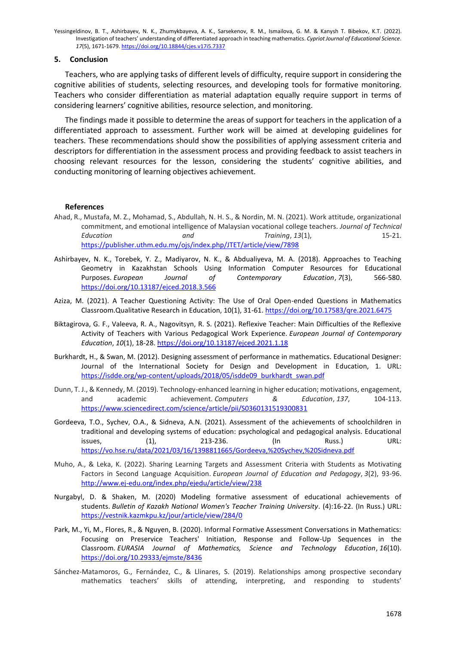#### **5. Conclusion**

Teachers, who are applying tasks of different levels of difficulty, require support in considering the cognitive abilities of students, selecting resources, and developing tools for formative monitoring. Teachers who consider differentiation as material adaptation equally require support in terms of considering learners' cognitive abilities, resource selection, and monitoring.

The findings made it possible to determine the areas of support for teachers in the application of a differentiated approach to assessment. Further work will be aimed at developing guidelines for teachers. These recommendations should show the possibilities of applying assessment criteria and descriptors for differentiation in the assessment process and providing feedback to assist teachers in choosing relevant resources for the lesson, considering the students' cognitive abilities, and conducting monitoring of learning objectives achievement.

#### **References**

- Ahad, R., Mustafa, M. Z., Mohamad, S., Abdullah, N. H. S., & Nordin, M. N. (2021). Work attitude, organizational commitment, and emotional intelligence of Malaysian vocational college teachers. *Journal of Technical Education and Training*, *13*(1), 15-21. <https://publisher.uthm.edu.my/ojs/index.php/JTET/article/view/7898>
- Ashirbayev, N. K., Torebek, Y. Z., Madiyarov, N. K., & Abdualiyeva, M. A. (2018). Approaches to Teaching Geometry in Kazakhstan Schools Using Information Computer Resources for Educational Purposes. *European Journal of Contemporary Education*, *7*(3), 566-580. <https://doi.org/10.13187/ejced.2018.3.566>
- Aziza, M. (2021). A Teacher Questioning Activity: The Use of Oral Open-ended Questions in Mathematics Classroom.Qualitative Research in Education, 10(1), 31-61[. https://doi.org/10.17583/qre.2021.6475](https://doi.org/10.17583/qre.2021.6475)
- Biktagirova, G. F., Valeeva, R. A., Nagovitsyn, R. S. (2021). Reflexive Teacher: Main Difficulties of the Reflexive Activity of Teachers with Various Pedagogical Work Experience. *European Journal of Contemporary Education*, *10*(1), 18-28[. https://doi.org/10.13187/ejced.2021.1.18](https://doi.org/10.13187/ejced.2021.1.18)
- Burkhardt, H., & Swan, M. (2012). Designing assessment of performance in mathematics. Educational Designer: Journal of the International Society for Design and Development in Education, 1. URL: [https://isdde.org/wp-content/uploads/2018/05/isdde09\\_burkhardt\\_swan.pdf](https://isdde.org/wp-content/uploads/2018/05/isdde09_burkhardt_swan.pdf)
- Dunn, T. J., & Kennedy, M. (2019). Technology-enhanced learning in higher education; motivations, engagement, and academic achievement. *Computers & Education*, *137*, 104-113. <https://www.sciencedirect.com/science/article/pii/S0360131519300831>
- Gordeeva, T.O., Sychev, O.A., & Sidneva, A.N. (2021). Assessment of the achievements of schoolchildren in traditional and developing systems of education: psychological and pedagogical analysis. Educational issues, (1), 213-236. (In Russ.) URL: <https://vo.hse.ru/data/2021/03/16/1398811665/Gordeeva,%20Sychev,%20Sidneva.pdf>
- Muho, A., & Leka, K. (2022). Sharing Learning Targets and Assessment Criteria with Students as Motivating Factors in Second Language Acquisition. *European Journal of Education and Pedagogy*, *3*(2), 93-96. <http://www.ej-edu.org/index.php/ejedu/article/view/238>
- Nurgabyl, D. & Shaken, M. (2020) Modeling formative assessment of educational achievements of students. *Bulletin of Kazakh National Women's Teacher Training University*. (4):16-22. (In Russ.) URL: <https://vestnik.kazmkpu.kz/jour/article/view/284/0>
- Park, M., Yi, M., Flores, R., & Nguyen, B. (2020). Informal Formative Assessment Conversations in Mathematics: Focusing on Preservice Teachers' Initiation, Response and Follow-Up Sequences in the Classroom. *EURASIA Journal of Mathematics, Science and Technology Education*, *16*(10). <https://doi.org/10.29333/ejmste/8436>
- Sánchez-Matamoros, G., Fernández, C., & Llinares, S. (2019). Relationships among prospective secondary mathematics teachers' skills of attending, interpreting, and responding to students'